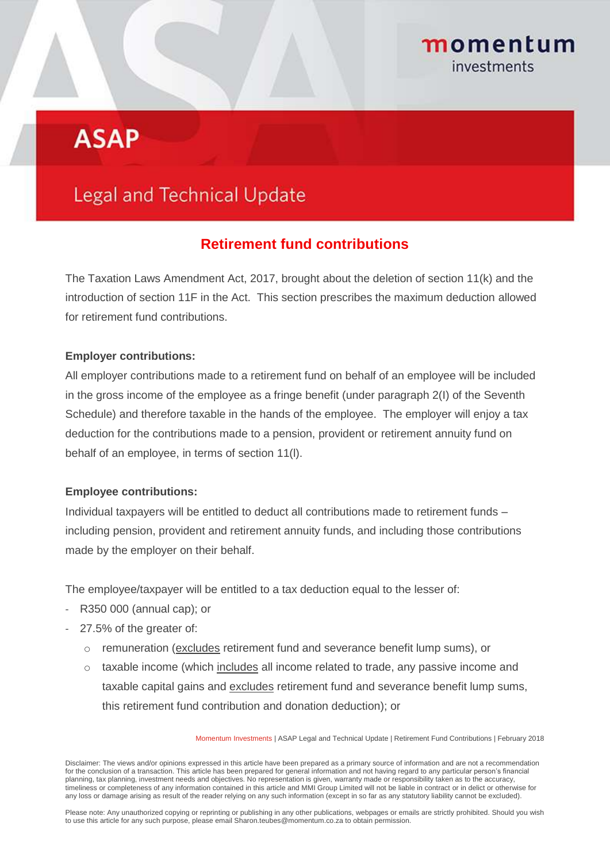## momentum investments

# **ASAP**

## **Legal and Technical Update**

### **Retirement fund contributions**

The Taxation Laws Amendment Act, 2017, brought about the deletion of section 11(k) and the introduction of section 11F in the Act. This section prescribes the maximum deduction allowed for retirement fund contributions.

#### **Employer contributions:**

All employer contributions made to a retirement fund on behalf of an employee will be included in the gross income of the employee as a fringe benefit (under paragraph 2(I) of the Seventh Schedule) and therefore taxable in the hands of the employee. The employer will enjoy a tax deduction for the contributions made to a pension, provident or retirement annuity fund on behalf of an employee, in terms of section 11(l).

#### **Employee contributions:**

Individual taxpayers will be entitled to deduct all contributions made to retirement funds – including pension, provident and retirement annuity funds, and including those contributions made by the employer on their behalf.

The employee/taxpayer will be entitled to a tax deduction equal to the lesser of:

- R350 000 (annual cap); or
- 27.5% of the greater of:
	- o remuneration (excludes retirement fund and severance benefit lump sums), or
	- $\circ$  taxable income (which includes all income related to trade, any passive income and taxable capital gains and excludes retirement fund and severance benefit lump sums, this retirement fund contribution and donation deduction); or

Momentum Investments | ASAP Legal and Technical Update | Retirement Fund Contributions | February 2018

Please note: Any unauthorized copying or reprinting or publishing in any other publications, webpages or emails are strictly prohibited. Should you wish to use this article for any such purpose, please email Sharon.teubes@momentum.co.za to obtain permission.

Disclaimer: The views and/or opinions expressed in this article have been prepared as a primary source of information and are not a recommendation for the conclusion of a transaction. This article has been prepared for general information and not having regard to any particular person's financial planning, tax planning, investment needs and objectives. No representation is given, warranty made or responsibility taken as to the accuracy, timeliness or completeness of any information contained in this article and MMI Group Limited will not be liable in contract or in delict or otherwise for any loss or damage arising as result of the reader relying on any such information (except in so far as any statutory liability cannot be excluded).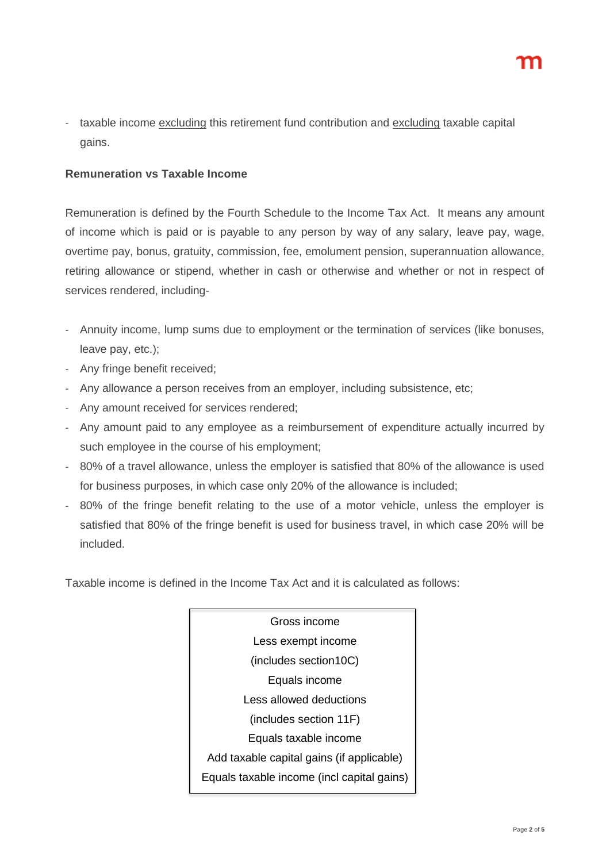taxable income excluding this retirement fund contribution and excluding taxable capital gains.

#### **Remuneration vs Taxable Income**

Remuneration is defined by the Fourth Schedule to the Income Tax Act. It means any amount of income which is paid or is payable to any person by way of any salary, leave pay, wage, overtime pay, bonus, gratuity, commission, fee, emolument pension, superannuation allowance, retiring allowance or stipend, whether in cash or otherwise and whether or not in respect of services rendered, including-

- Annuity income, lump sums due to employment or the termination of services (like bonuses, leave pay, etc.);
- Any fringe benefit received;
- Any allowance a person receives from an employer, including subsistence, etc;
- Any amount received for services rendered;
- Any amount paid to any employee as a reimbursement of expenditure actually incurred by such employee in the course of his employment;
- 80% of a travel allowance, unless the employer is satisfied that 80% of the allowance is used for business purposes, in which case only 20% of the allowance is included;
- 80% of the fringe benefit relating to the use of a motor vehicle, unless the employer is satisfied that 80% of the fringe benefit is used for business travel, in which case 20% will be included.

Taxable income is defined in the Income Tax Act and it is calculated as follows:

Gross income Less exempt income (includes section10C) Equals income Less allowed deductions (includes section 11F) Equals taxable income Add taxable capital gains (if applicable) Equals taxable income (incl capital gains)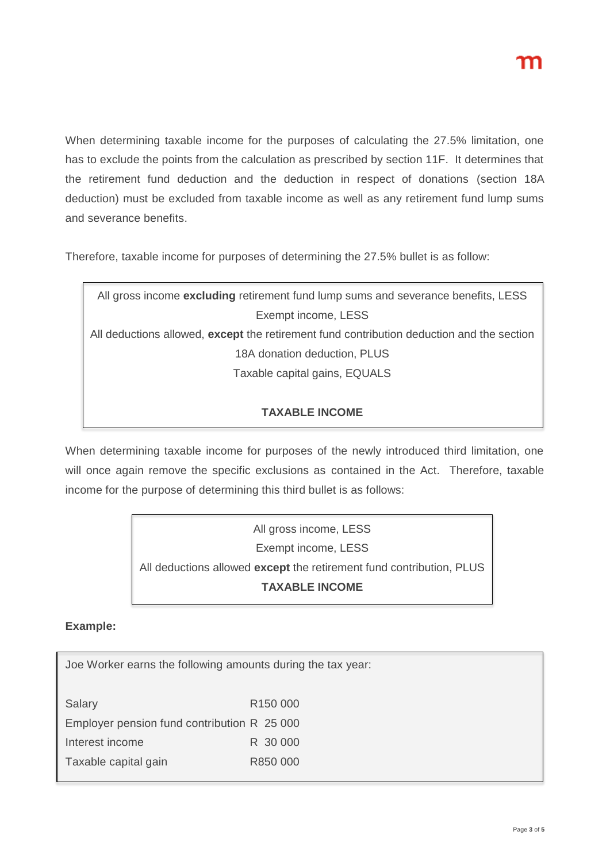When determining taxable income for the purposes of calculating the 27.5% limitation, one has to exclude the points from the calculation as prescribed by section 11F. It determines that the retirement fund deduction and the deduction in respect of donations (section 18A deduction) must be excluded from taxable income as well as any retirement fund lump sums and severance benefits.

Therefore, taxable income for purposes of determining the 27.5% bullet is as follow:

| All gross income excluding retirement fund lump sums and severance benefits, LESS         |
|-------------------------------------------------------------------------------------------|
| Exempt income, LESS                                                                       |
| All deductions allowed, except the retirement fund contribution deduction and the section |
| 18A donation deduction, PLUS                                                              |
| Taxable capital gains, EQUALS                                                             |
|                                                                                           |

#### **TAXABLE INCOME**

When determining taxable income for purposes of the newly introduced third limitation, one will once again remove the specific exclusions as contained in the Act. Therefore, taxable income for the purpose of determining this third bullet is as follows:

> All gross income, LESS Exempt income, LESS All deductions allowed **except** the retirement fund contribution, PLUS **TAXABLE INCOME**

#### **Example:**

Joe Worker earns the following amounts during the tax year: Salary R150 000 Employer pension fund contribution R 25 000 Interest income R 30 000 Taxable capital gain R850 000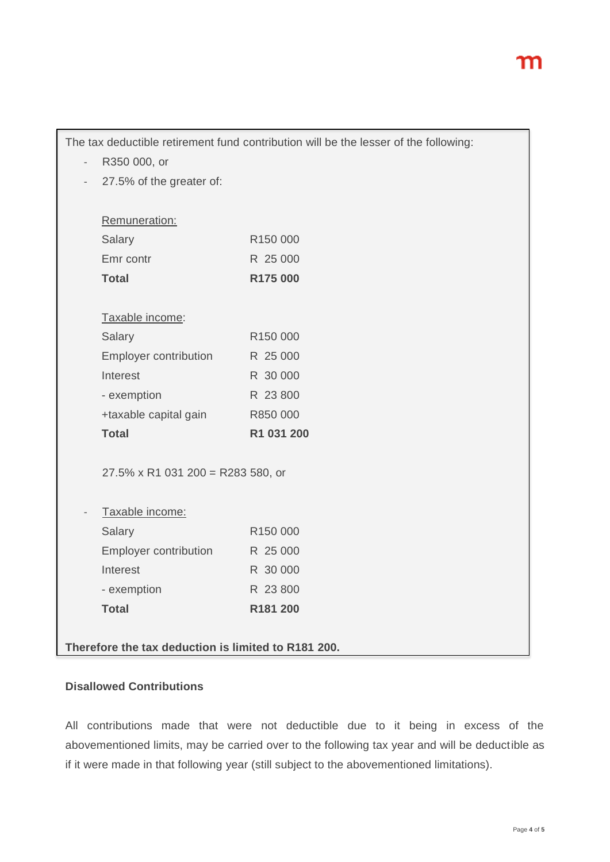|                                         | The tax deductible retirement fund contribution will be the lesser of the following: |
|-----------------------------------------|--------------------------------------------------------------------------------------|
| R350 000, or                            |                                                                                      |
| 27.5% of the greater of:                |                                                                                      |
|                                         |                                                                                      |
| Remuneration:                           |                                                                                      |
| Salary                                  | R150 000                                                                             |
| Emr contr                               | R 25 000                                                                             |
| <b>Total</b>                            | R175 000                                                                             |
|                                         |                                                                                      |
| Taxable income:                         |                                                                                      |
| Salary                                  | R150 000                                                                             |
| <b>Employer contribution</b>            | R 25 000                                                                             |
| Interest                                | R 30 000                                                                             |
| - exemption                             | R 23 800                                                                             |
| +taxable capital gain                   | R850 000                                                                             |
| <b>Total</b>                            | R1 031 200                                                                           |
| $27.5\% \times R1031200 = R283580$ , or |                                                                                      |
| Taxable income:                         |                                                                                      |
| Salary                                  | R150 000                                                                             |
| <b>Employer contribution</b>            | R 25 000                                                                             |
| Interest                                | R 30 000                                                                             |
| - exemption                             | R 23 800                                                                             |
| <b>Total</b>                            | R181 200                                                                             |

#### **Disallowed Contributions**

All contributions made that were not deductible due to it being in excess of the abovementioned limits, may be carried over to the following tax year and will be deductible as if it were made in that following year (still subject to the abovementioned limitations).